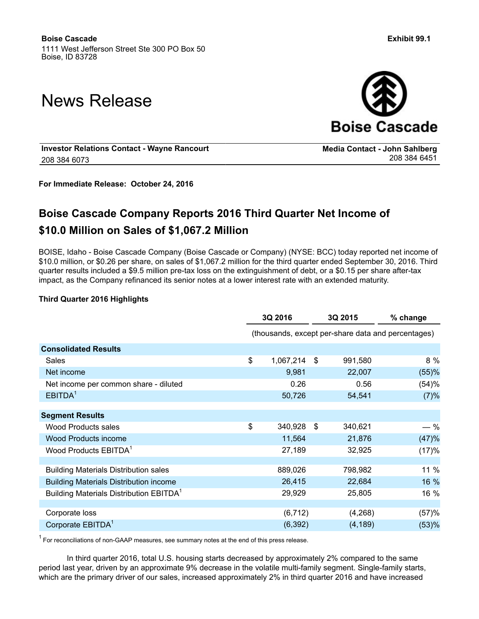# News Release



**Media Contact - John Sahlberg**

**Investor Relations Contact - Wayne Rancourt** 208 384 6073

**For Immediate Release: October 24, 2016**

## **Boise Cascade Company Reports 2016 Third Quarter Net Income of \$10.0 Million on Sales of \$1,067.2 Million**

BOISE, Idaho - Boise Cascade Company (Boise Cascade or Company) (NYSE: BCC) today reported net income of \$10.0 million, or \$0.26 per share, on sales of \$1,067.2 million for the third quarter ended September 30, 2016. Third quarter results included a \$9.5 million pre-tax loss on the extinguishment of debt, or a \$0.15 per share after-tax impact, as the Company refinanced its senior notes at a lower interest rate with an extended maturity.

#### **Third Quarter 2016 Highlights**

|                                                     | 3Q 2016         |    | 3Q 2015                                            | % change |
|-----------------------------------------------------|-----------------|----|----------------------------------------------------|----------|
|                                                     |                 |    | (thousands, except per-share data and percentages) |          |
| <b>Consolidated Results</b>                         |                 |    |                                                    |          |
| Sales                                               | \$<br>1,067,214 | \$ | 991,580                                            | 8 %      |
| Net income                                          | 9,981           |    | 22,007                                             | (55)%    |
| Net income per common share - diluted               | 0.26            |    | 0.56                                               | (54)%    |
| EBITDA <sup>1</sup>                                 | 50,726          |    | 54,541                                             | (7)%     |
|                                                     |                 |    |                                                    |          |
| <b>Segment Results</b>                              |                 |    |                                                    |          |
| Wood Products sales                                 | \$<br>340,928   | \$ | 340,621                                            | $-$ %    |
| <b>Wood Products income</b>                         | 11,564          |    | 21,876                                             | (47)%    |
| Wood Products EBITDA <sup>1</sup>                   | 27,189          |    | 32,925                                             | (17)%    |
|                                                     |                 |    |                                                    |          |
| <b>Building Materials Distribution sales</b>        | 889,026         |    | 798,982                                            | 11 %     |
| <b>Building Materials Distribution income</b>       | 26,415          |    | 22,684                                             | 16 %     |
| Building Materials Distribution EBITDA <sup>1</sup> | 29,929          |    | 25,805                                             | 16 %     |
|                                                     |                 |    |                                                    |          |
| Corporate loss                                      | (6, 712)        |    | (4,268)                                            | (57)%    |
| Corporate EBITDA <sup>1</sup>                       | (6, 392)        |    | (4, 189)                                           | (53)%    |

 $1$  For reconciliations of non-GAAP measures, see summary notes at the end of this press release.

In third quarter 2016, total U.S. housing starts decreased by approximately 2% compared to the same period last year, driven by an approximate 9% decrease in the volatile multi-family segment. Single-family starts, which are the primary driver of our sales, increased approximately 2% in third quarter 2016 and have increased

208 384 6451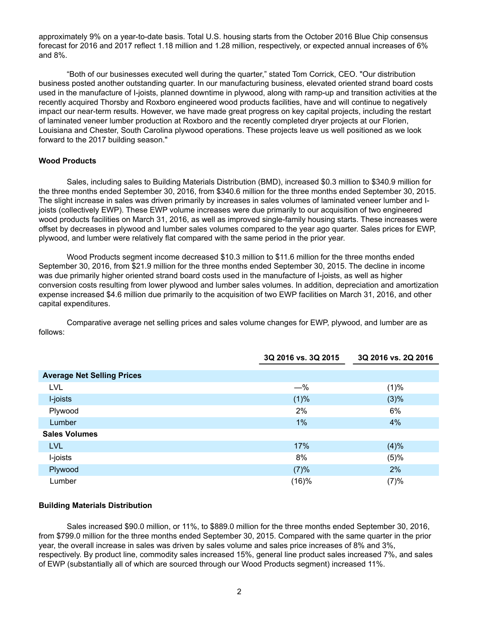approximately 9% on a year-to-date basis. Total U.S. housing starts from the October 2016 Blue Chip consensus forecast for 2016 and 2017 reflect 1.18 million and 1.28 million, respectively, or expected annual increases of 6% and 8%.

"Both of our businesses executed well during the quarter," stated Tom Corrick, CEO. "Our distribution business posted another outstanding quarter. In our manufacturing business, elevated oriented strand board costs used in the manufacture of I-joists, planned downtime in plywood, along with ramp-up and transition activities at the recently acquired Thorsby and Roxboro engineered wood products facilities, have and will continue to negatively impact our near-term results. However, we have made great progress on key capital projects, including the restart of laminated veneer lumber production at Roxboro and the recently completed dryer projects at our Florien, Louisiana and Chester, South Carolina plywood operations. These projects leave us well positioned as we look forward to the 2017 building season."

#### **Wood Products**

Sales, including sales to Building Materials Distribution (BMD), increased \$0.3 million to \$340.9 million for the three months ended September 30, 2016, from \$340.6 million for the three months ended September 30, 2015. The slight increase in sales was driven primarily by increases in sales volumes of laminated veneer lumber and Ijoists (collectively EWP). These EWP volume increases were due primarily to our acquisition of two engineered wood products facilities on March 31, 2016, as well as improved single-family housing starts. These increases were offset by decreases in plywood and lumber sales volumes compared to the year ago quarter. Sales prices for EWP, plywood, and lumber were relatively flat compared with the same period in the prior year.

Wood Products segment income decreased \$10.3 million to \$11.6 million for the three months ended September 30, 2016, from \$21.9 million for the three months ended September 30, 2015. The decline in income was due primarily higher oriented strand board costs used in the manufacture of I-joists, as well as higher conversion costs resulting from lower plywood and lumber sales volumes. In addition, depreciation and amortization expense increased \$4.6 million due primarily to the acquisition of two EWP facilities on March 31, 2016, and other capital expenditures.

Comparative average net selling prices and sales volume changes for EWP, plywood, and lumber are as follows:

|                                   | 3Q 2016 vs. 3Q 2015 | 3Q 2016 vs. 2Q 2016 |
|-----------------------------------|---------------------|---------------------|
| <b>Average Net Selling Prices</b> |                     |                     |
| LVL                               | $-\%$               | (1)%                |
| I-joists                          | (1)%                | (3)%                |
| Plywood                           | 2%                  | 6%                  |
| Lumber                            | $1\%$               | 4%                  |
| <b>Sales Volumes</b>              |                     |                     |
| <b>LVL</b>                        | 17%                 | (4)%                |
| I-joists                          | 8%                  | (5)%                |
| Plywood                           | (7)%                | 2%                  |
| Lumber                            | (16)%               | (7)%                |

#### **Building Materials Distribution**

Sales increased \$90.0 million, or 11%, to \$889.0 million for the three months ended September 30, 2016, from \$799.0 million for the three months ended September 30, 2015. Compared with the same quarter in the prior year, the overall increase in sales was driven by sales volume and sales price increases of 8% and 3%, respectively. By product line, commodity sales increased 15%, general line product sales increased 7%, and sales of EWP (substantially all of which are sourced through our Wood Products segment) increased 11%.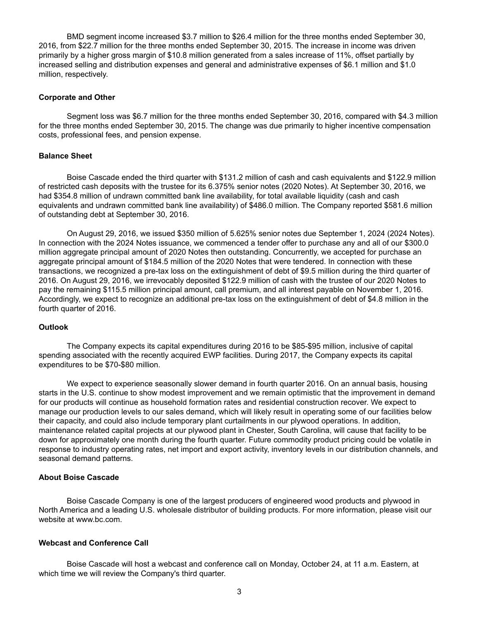BMD segment income increased \$3.7 million to \$26.4 million for the three months ended September 30, 2016, from \$22.7 million for the three months ended September 30, 2015. The increase in income was driven primarily by a higher gross margin of \$10.8 million generated from a sales increase of 11%, offset partially by increased selling and distribution expenses and general and administrative expenses of \$6.1 million and \$1.0 million, respectively.

#### **Corporate and Other**

Segment loss was \$6.7 million for the three months ended September 30, 2016, compared with \$4.3 million for the three months ended September 30, 2015. The change was due primarily to higher incentive compensation costs, professional fees, and pension expense.

#### **Balance Sheet**

Boise Cascade ended the third quarter with \$131.2 million of cash and cash equivalents and \$122.9 million of restricted cash deposits with the trustee for its 6.375% senior notes (2020 Notes). At September 30, 2016, we had \$354.8 million of undrawn committed bank line availability, for total available liquidity (cash and cash equivalents and undrawn committed bank line availability) of \$486.0 million. The Company reported \$581.6 million of outstanding debt at September 30, 2016.

On August 29, 2016, we issued \$350 million of 5.625% senior notes due September 1, 2024 (2024 Notes). In connection with the 2024 Notes issuance, we commenced a tender offer to purchase any and all of our \$300.0 million aggregate principal amount of 2020 Notes then outstanding. Concurrently, we accepted for purchase an aggregate principal amount of \$184.5 million of the 2020 Notes that were tendered. In connection with these transactions, we recognized a pre-tax loss on the extinguishment of debt of \$9.5 million during the third quarter of 2016. On August 29, 2016, we irrevocably deposited \$122.9 million of cash with the trustee of our 2020 Notes to pay the remaining \$115.5 million principal amount, call premium, and all interest payable on November 1, 2016. Accordingly, we expect to recognize an additional pre-tax loss on the extinguishment of debt of \$4.8 million in the fourth quarter of 2016.

#### **Outlook**

The Company expects its capital expenditures during 2016 to be \$85-\$95 million, inclusive of capital spending associated with the recently acquired EWP facilities. During 2017, the Company expects its capital expenditures to be \$70-\$80 million.

We expect to experience seasonally slower demand in fourth quarter 2016. On an annual basis, housing starts in the U.S. continue to show modest improvement and we remain optimistic that the improvement in demand for our products will continue as household formation rates and residential construction recover. We expect to manage our production levels to our sales demand, which will likely result in operating some of our facilities below their capacity, and could also include temporary plant curtailments in our plywood operations. In addition, maintenance related capital projects at our plywood plant in Chester, South Carolina, will cause that facility to be down for approximately one month during the fourth quarter. Future commodity product pricing could be volatile in response to industry operating rates, net import and export activity, inventory levels in our distribution channels, and seasonal demand patterns.

#### **About Boise Cascade**

Boise Cascade Company is one of the largest producers of engineered wood products and plywood in North America and a leading U.S. wholesale distributor of building products. For more information, please visit our website at www.bc.com.

#### **Webcast and Conference Call**

Boise Cascade will host a webcast and conference call on Monday, October 24, at 11 a.m. Eastern, at which time we will review the Company's third quarter.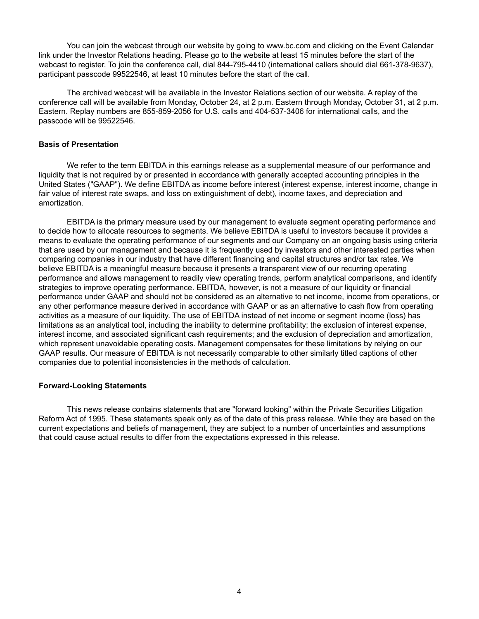You can join the webcast through our website by going to www.bc.com and clicking on the Event Calendar link under the Investor Relations heading. Please go to the website at least 15 minutes before the start of the webcast to register. To join the conference call, dial 844-795-4410 (international callers should dial 661-378-9637), participant passcode 99522546, at least 10 minutes before the start of the call.

The archived webcast will be available in the Investor Relations section of our website. A replay of the conference call will be available from Monday, October 24, at 2 p.m. Eastern through Monday, October 31, at 2 p.m. Eastern. Replay numbers are 855-859-2056 for U.S. calls and 404-537-3406 for international calls, and the passcode will be 99522546.

#### **Basis of Presentation**

We refer to the term EBITDA in this earnings release as a supplemental measure of our performance and liquidity that is not required by or presented in accordance with generally accepted accounting principles in the United States ("GAAP"). We define EBITDA as income before interest (interest expense, interest income, change in fair value of interest rate swaps, and loss on extinguishment of debt), income taxes, and depreciation and amortization.

EBITDA is the primary measure used by our management to evaluate segment operating performance and to decide how to allocate resources to segments. We believe EBITDA is useful to investors because it provides a means to evaluate the operating performance of our segments and our Company on an ongoing basis using criteria that are used by our management and because it is frequently used by investors and other interested parties when comparing companies in our industry that have different financing and capital structures and/or tax rates. We believe EBITDA is a meaningful measure because it presents a transparent view of our recurring operating performance and allows management to readily view operating trends, perform analytical comparisons, and identify strategies to improve operating performance. EBITDA, however, is not a measure of our liquidity or financial performance under GAAP and should not be considered as an alternative to net income, income from operations, or any other performance measure derived in accordance with GAAP or as an alternative to cash flow from operating activities as a measure of our liquidity. The use of EBITDA instead of net income or segment income (loss) has limitations as an analytical tool, including the inability to determine profitability; the exclusion of interest expense, interest income, and associated significant cash requirements; and the exclusion of depreciation and amortization, which represent unavoidable operating costs. Management compensates for these limitations by relying on our GAAP results. Our measure of EBITDA is not necessarily comparable to other similarly titled captions of other companies due to potential inconsistencies in the methods of calculation.

#### **Forward-Looking Statements**

This news release contains statements that are "forward looking" within the Private Securities Litigation Reform Act of 1995. These statements speak only as of the date of this press release. While they are based on the current expectations and beliefs of management, they are subject to a number of uncertainties and assumptions that could cause actual results to differ from the expectations expressed in this release.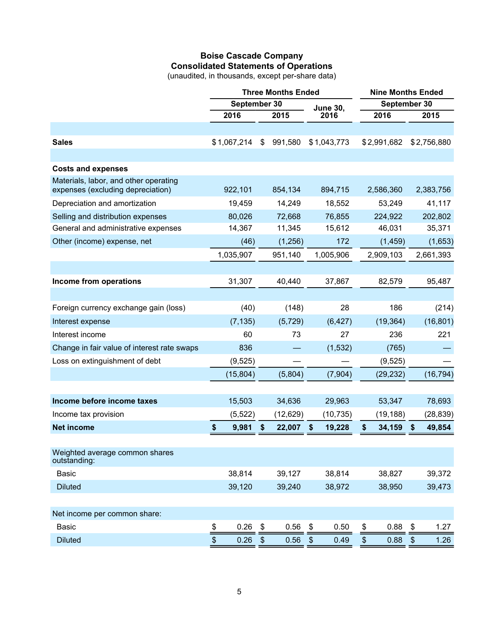## **Boise Cascade Company Consolidated Statements of Operations**

(unaudited, in thousands, except per-share data)

|                                                |      |              |               | <b>Three Months Ended</b> | <b>Nine Months Ended</b> |                 |      |              |    |             |
|------------------------------------------------|------|--------------|---------------|---------------------------|--------------------------|-----------------|------|--------------|----|-------------|
|                                                |      | September 30 |               |                           |                          | <b>June 30,</b> |      | September 30 |    |             |
|                                                |      | 2016         |               | 2015                      |                          | 2016            |      | 2016         |    | 2015        |
| <b>Sales</b>                                   |      | \$1,067,214  | \$            | 991,580                   |                          | \$1,043,773     |      | \$2,991,682  |    | \$2,756,880 |
|                                                |      |              |               |                           |                          |                 |      |              |    |             |
| <b>Costs and expenses</b>                      |      |              |               |                           |                          |                 |      |              |    |             |
| Materials, labor, and other operating          |      |              |               |                           |                          |                 |      |              |    |             |
| expenses (excluding depreciation)              |      | 922,101      |               | 854,134                   |                          | 894,715         |      | 2,586,360    |    | 2,383,756   |
| Depreciation and amortization                  |      | 19,459       |               | 14,249                    |                          | 18,552          |      | 53,249       |    | 41,117      |
| Selling and distribution expenses              |      | 80,026       |               | 72,668                    |                          | 76,855          |      | 224,922      |    | 202,802     |
| General and administrative expenses            |      | 14,367       |               | 11,345                    |                          | 15,612          |      | 46,031       |    | 35,371      |
| Other (income) expense, net                    |      | (46)         |               | (1,256)                   |                          | 172             |      | (1, 459)     |    | (1,653)     |
|                                                |      | 1,035,907    |               | 951,140                   |                          | 1,005,906       |      | 2,909,103    |    | 2,661,393   |
|                                                |      |              |               |                           |                          |                 |      |              |    |             |
| Income from operations                         |      | 31,307       |               | 40,440                    |                          | 37,867          |      | 82,579       |    | 95,487      |
|                                                |      |              |               |                           |                          |                 |      |              |    |             |
| Foreign currency exchange gain (loss)          |      | (40)         |               | (148)                     |                          | 28              |      | 186          |    | (214)       |
| Interest expense                               |      | (7, 135)     |               | (5, 729)                  |                          | (6, 427)        |      | (19, 364)    |    | (16, 801)   |
| Interest income                                |      | 60           |               | 73                        |                          | 27              |      | 236          |    | 221         |
| Change in fair value of interest rate swaps    |      | 836          |               |                           |                          | (1,532)         |      | (765)        |    |             |
| Loss on extinguishment of debt                 |      | (9, 525)     |               |                           |                          |                 |      | (9,525)      |    |             |
|                                                |      | (15, 804)    |               | (5,804)                   |                          | (7,904)         |      | (29, 232)    |    | (16, 794)   |
|                                                |      |              |               |                           |                          |                 |      |              |    |             |
| Income before income taxes                     |      | 15,503       |               | 34,636                    |                          | 29,963          |      | 53,347       |    | 78,693      |
| Income tax provision                           |      | (5, 522)     |               | (12, 629)                 |                          | (10, 735)       |      | (19, 188)    |    | (28, 839)   |
| <b>Net income</b>                              | \$   | 9,981        | \$            | 22,007                    | \$                       | 19,228          | \$   | 34,159       | \$ | 49,854      |
|                                                |      |              |               |                           |                          |                 |      |              |    |             |
| Weighted average common shares<br>outstanding: |      |              |               |                           |                          |                 |      |              |    |             |
| <b>Basic</b>                                   |      | 38,814       |               | 39,127                    |                          | 38,814          |      | 38,827       |    | 39,372      |
| <b>Diluted</b>                                 |      | 39,120       |               | 39,240                    |                          | 38,972          |      | 38,950       |    | 39,473      |
|                                                |      |              |               |                           |                          |                 |      |              |    |             |
| Net income per common share:                   |      |              |               |                           |                          |                 |      |              |    |             |
| <b>Basic</b>                                   | \$   | 0.26         | $\frac{1}{2}$ | 0.56                      | \$                       | 0.50            | \$   | 0.88         | \$ | 1.27        |
| <b>Diluted</b>                                 | $\,$ | 0.26         | $\frac{1}{2}$ | 0.56                      | $\boldsymbol{\theta}$    | 0.49            | $\,$ | 0.88         | \$ | 1.26        |
|                                                |      |              |               |                           |                          |                 |      |              |    |             |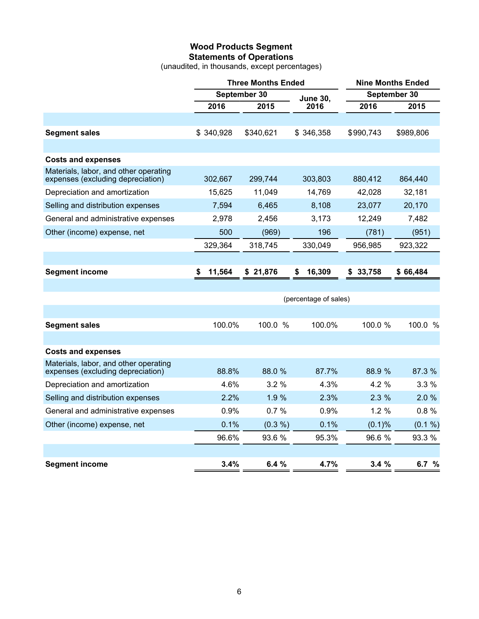## **Wood Products Segment Statements of Operations**

(unaudited, in thousands, except percentages)

|                                                                            |              | <b>Three Months Ended</b> |                       | <b>Nine Months Ended</b> |           |  |  |
|----------------------------------------------------------------------------|--------------|---------------------------|-----------------------|--------------------------|-----------|--|--|
|                                                                            |              | September 30              | <b>June 30,</b>       | September 30             |           |  |  |
|                                                                            | 2016         | 2015                      | 2016                  | 2016                     | 2015      |  |  |
|                                                                            |              |                           |                       |                          |           |  |  |
| <b>Segment sales</b>                                                       | \$340,928    | \$340,621                 | \$346,358             | \$990,743                | \$989,806 |  |  |
|                                                                            |              |                           |                       |                          |           |  |  |
| <b>Costs and expenses</b>                                                  |              |                           |                       |                          |           |  |  |
| Materials, labor, and other operating<br>expenses (excluding depreciation) | 302,667      | 299,744                   | 303,803               | 880,412                  | 864,440   |  |  |
| Depreciation and amortization                                              | 15,625       | 11,049                    | 14,769                | 42,028                   | 32,181    |  |  |
| Selling and distribution expenses                                          | 7,594        | 6,465                     | 8,108                 | 23,077                   | 20,170    |  |  |
| General and administrative expenses                                        | 2,978        | 2,456                     | 3,173                 | 12,249                   | 7,482     |  |  |
| Other (income) expense, net                                                | 500          | (969)                     | 196                   | (781)                    | (951)     |  |  |
|                                                                            | 329,364      | 318,745                   | 330,049               | 956,985                  | 923,322   |  |  |
|                                                                            |              |                           |                       |                          |           |  |  |
| <b>Segment income</b>                                                      | 11,564<br>\$ | \$21,876                  | 16,309<br>\$          | 33,758<br>\$             | \$66,484  |  |  |
|                                                                            |              |                           |                       |                          |           |  |  |
|                                                                            |              |                           | (percentage of sales) |                          |           |  |  |
|                                                                            |              |                           |                       |                          |           |  |  |
| <b>Segment sales</b>                                                       | 100.0%       | 100.0 %                   | 100.0%                | 100.0 %                  | 100.0 %   |  |  |
|                                                                            |              |                           |                       |                          |           |  |  |
| <b>Costs and expenses</b>                                                  |              |                           |                       |                          |           |  |  |
| Materials, labor, and other operating<br>expenses (excluding depreciation) | 88.8%        | 88.0 %                    | 87.7%                 | 88.9 %                   | 87.3 %    |  |  |
| Depreciation and amortization                                              | 4.6%         | 3.2%                      | 4.3%                  | 4.2 %                    | 3.3%      |  |  |
| Selling and distribution expenses                                          | 2.2%         | 1.9 %                     | 2.3%                  | 2.3%                     | 2.0%      |  |  |
| General and administrative expenses                                        | 0.9%         | 0.7%                      | 0.9%                  | 1.2%                     | 0.8%      |  |  |

Other (income) expense, net 0.1% (0.3 %) 0.1% (0.1 %)

**Segment income 3.4% 6.4 % 4.7% 3.4 % 6.7 %**

96.6% 93.6 % 95.3% 96.6 % 93.3 %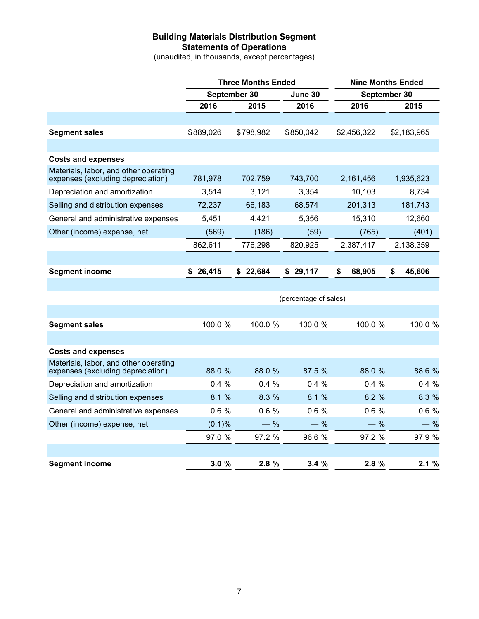## **Building Materials Distribution Segment Statements of Operations**

(unaudited, in thousands, except percentages)

|                                                                            |             | <b>Three Months Ended</b> |           |              | <b>Nine Months Ended</b> |
|----------------------------------------------------------------------------|-------------|---------------------------|-----------|--------------|--------------------------|
|                                                                            |             | September 30              | June 30   |              | September 30             |
|                                                                            | 2016        | 2015                      | 2016      | 2016         | 2015                     |
|                                                                            |             |                           |           |              |                          |
| <b>Segment sales</b>                                                       | \$889,026   | \$798,982                 | \$850,042 | \$2,456,322  | \$2,183,965              |
|                                                                            |             |                           |           |              |                          |
| <b>Costs and expenses</b>                                                  |             |                           |           |              |                          |
| Materials, labor, and other operating<br>expenses (excluding depreciation) | 781,978     | 702,759                   | 743,700   | 2,161,456    | 1,935,623                |
| Depreciation and amortization                                              | 3,514       | 3,121                     | 3,354     | 10,103       | 8,734                    |
| Selling and distribution expenses                                          | 72,237      | 66,183                    | 68,574    | 201,313      | 181,743                  |
| General and administrative expenses                                        | 5,451       | 4,421                     | 5,356     | 15,310       | 12,660                   |
| Other (income) expense, net                                                | (569)       | (186)                     | (59)      | (765)        | (401)                    |
|                                                                            | 862,611     | 776,298                   | 820,925   | 2,387,417    | 2,138,359                |
|                                                                            |             |                           |           |              |                          |
| <b>Segment income</b>                                                      | 26,415<br>S | \$22,684                  | \$29,117  | \$<br>68,905 | \$<br>45,606             |
|                                                                            |             |                           |           |              |                          |

|                                                                            | (percentage of sales) |         |         |         |         |  |  |  |  |  |  |
|----------------------------------------------------------------------------|-----------------------|---------|---------|---------|---------|--|--|--|--|--|--|
|                                                                            |                       |         |         |         |         |  |  |  |  |  |  |
| <b>Segment sales</b>                                                       | 100.0 %               | 100.0%  | 100.0%  | 100.0 % | 100.0 % |  |  |  |  |  |  |
|                                                                            |                       |         |         |         |         |  |  |  |  |  |  |
| <b>Costs and expenses</b>                                                  |                       |         |         |         |         |  |  |  |  |  |  |
| Materials, labor, and other operating<br>expenses (excluding depreciation) | 88.0 %                | 88.0 %  | 87.5%   | 88.0 %  | 88.6 %  |  |  |  |  |  |  |
| Depreciation and amortization                                              | $0.4\%$               | $0.4\%$ | $0.4\%$ | $0.4\%$ | 0.4%    |  |  |  |  |  |  |
| Selling and distribution expenses                                          | 8.1%                  | 8.3%    | 8.1%    | 8.2%    | 8.3 %   |  |  |  |  |  |  |
| General and administrative expenses                                        | 0.6%                  | $0.6\%$ | 0.6%    | $0.6\%$ | 0.6%    |  |  |  |  |  |  |
| Other (income) expense, net                                                | $(0.1)$ %             | $-$ %   | $-$ %   | $-$ %   | $-$ %   |  |  |  |  |  |  |
|                                                                            | 97.0 %                | 97.2 %  | 96.6 %  | 97.2 %  | 97.9 %  |  |  |  |  |  |  |
|                                                                            |                       |         |         |         |         |  |  |  |  |  |  |
| <b>Segment income</b>                                                      | 3.0%                  | 2.8%    | 3.4%    | 2.8%    | 2.1%    |  |  |  |  |  |  |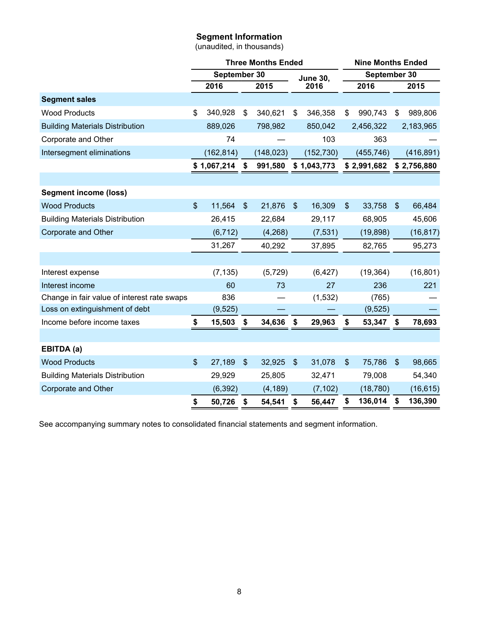## **Segment Information**

(unaudited, in thousands)

|                                             |                           |              |                | <b>Three Months Ended</b> |                         |                 | <b>Nine Months Ended</b> |              |                            |             |
|---------------------------------------------|---------------------------|--------------|----------------|---------------------------|-------------------------|-----------------|--------------------------|--------------|----------------------------|-------------|
|                                             |                           | September 30 |                |                           |                         | <b>June 30,</b> |                          | September 30 |                            |             |
|                                             |                           | 2016         |                | 2015                      |                         | 2016            | 2016                     |              |                            | 2015        |
| <b>Segment sales</b>                        |                           |              |                |                           |                         |                 |                          |              |                            |             |
| <b>Wood Products</b>                        | \$                        | 340,928      | \$             | 340,621                   | \$                      | 346,358         | \$                       | 990,743      | \$                         | 989,806     |
| <b>Building Materials Distribution</b>      |                           | 889,026      |                | 798,982                   |                         | 850,042         |                          | 2,456,322    |                            | 2,183,965   |
| Corporate and Other                         |                           | 74           |                |                           |                         | 103             |                          | 363          |                            |             |
| Intersegment eliminations                   |                           | (162, 814)   |                | (148, 023)                |                         | (152, 730)      |                          | (455, 746)   |                            | (416, 891)  |
|                                             |                           | \$1,067,214  | \$             | 991,580                   |                         | \$1,043,773     |                          | \$2,991,682  |                            | \$2,756,880 |
|                                             |                           |              |                |                           |                         |                 |                          |              |                            |             |
| <b>Segment income (loss)</b>                |                           |              |                |                           |                         |                 |                          |              |                            |             |
| <b>Wood Products</b>                        | $\boldsymbol{\mathsf{S}}$ | 11,564       | $\mathfrak{S}$ | 21,876                    | $\mathcal{S}$           | 16,309          | $\mathbb{S}$             | 33,758       | $\mathcal{S}$              | 66,484      |
| <b>Building Materials Distribution</b>      |                           | 26,415       |                | 22,684                    |                         | 29,117          |                          | 68,905       |                            | 45,606      |
| Corporate and Other                         |                           | (6, 712)     |                | (4,268)                   |                         | (7, 531)        |                          | (19, 898)    |                            | (16, 817)   |
|                                             |                           | 31,267       |                | 40,292                    |                         | 37,895          |                          | 82,765       |                            | 95,273      |
|                                             |                           |              |                |                           |                         |                 |                          |              |                            |             |
| Interest expense                            |                           | (7, 135)     |                | (5, 729)                  |                         | (6, 427)        |                          | (19, 364)    |                            | (16, 801)   |
| Interest income                             |                           | 60           |                | 73                        |                         | 27              |                          | 236          |                            | 221         |
| Change in fair value of interest rate swaps |                           | 836          |                |                           |                         | (1, 532)        |                          | (765)        |                            |             |
| Loss on extinguishment of debt              |                           | (9, 525)     |                |                           |                         |                 |                          | (9, 525)     |                            |             |
| Income before income taxes                  | \$                        | 15,503       | \$             | 34,636                    | \$                      | 29,963          | \$                       | 53,347       | \$                         | 78,693      |
|                                             |                           |              |                |                           |                         |                 |                          |              |                            |             |
| EBITDA (a)                                  |                           |              |                |                           |                         |                 |                          |              |                            |             |
| <b>Wood Products</b>                        | $\boldsymbol{\mathsf{S}}$ | 27,189       | $\frac{1}{2}$  | 32,925                    | $\sqrt[6]{\frac{1}{2}}$ | 31,078          | $\mathbb{S}$             | 75,786       | $\boldsymbol{\mathcal{S}}$ | 98,665      |
| <b>Building Materials Distribution</b>      |                           | 29,929       |                | 25,805                    |                         | 32,471          |                          | 79,008       |                            | 54,340      |
| Corporate and Other                         |                           | (6, 392)     |                | (4, 189)                  |                         | (7, 102)        |                          | (18, 780)    |                            | (16, 615)   |
|                                             | \$                        | 50,726       | \$             | 54,541                    | \$                      | 56,447          | \$                       | 136,014      | \$                         | 136,390     |

See accompanying summary notes to consolidated financial statements and segment information.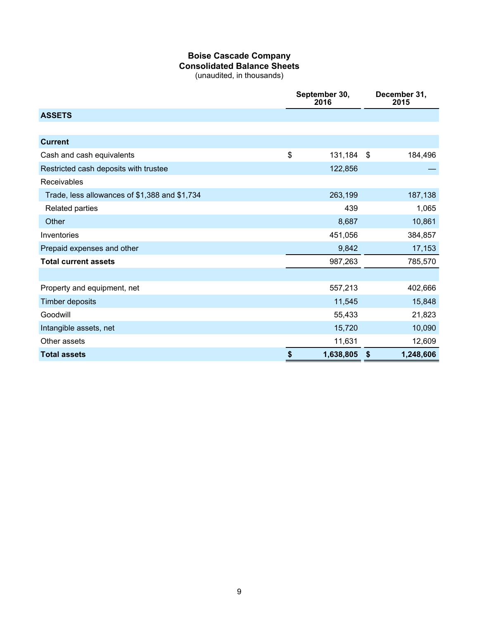## **Boise Cascade Company Consolidated Balance Sheets**

(unaudited, in thousands)

|                                               | September 30,<br>2016 |                | December 31,<br>2015 |
|-----------------------------------------------|-----------------------|----------------|----------------------|
| <b>ASSETS</b>                                 |                       |                |                      |
|                                               |                       |                |                      |
| <b>Current</b>                                |                       |                |                      |
| Cash and cash equivalents                     | \$<br>131,184         | $\mathfrak{S}$ | 184,496              |
| Restricted cash deposits with trustee         | 122,856               |                |                      |
| Receivables                                   |                       |                |                      |
| Trade, less allowances of \$1,388 and \$1,734 | 263,199               |                | 187,138              |
| Related parties                               | 439                   |                | 1,065                |
| Other                                         | 8,687                 |                | 10,861               |
| Inventories                                   | 451,056               |                | 384,857              |
| Prepaid expenses and other                    | 9,842                 |                | 17,153               |
| <b>Total current assets</b>                   | 987,263               |                | 785,570              |
|                                               |                       |                |                      |
| Property and equipment, net                   | 557,213               |                | 402,666              |
| <b>Timber deposits</b>                        | 11,545                |                | 15,848               |
| Goodwill                                      | 55,433                |                | 21,823               |
| Intangible assets, net                        | 15,720                |                | 10,090               |
| Other assets                                  | 11,631                |                | 12,609               |
| <b>Total assets</b>                           | \$<br>1,638,805       | \$             | 1,248,606            |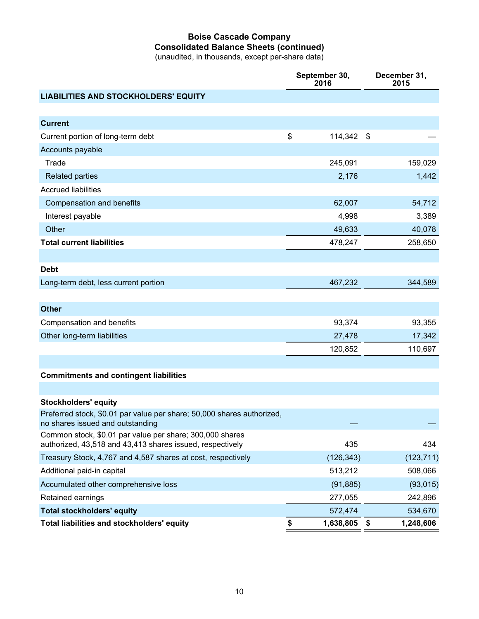## **Boise Cascade Company Consolidated Balance Sheets (continued)**

(unaudited, in thousands, except per-share data)

|                                                                                                                       | September 30,<br>2016 |            |                           | December 31,<br>2015 |  |  |
|-----------------------------------------------------------------------------------------------------------------------|-----------------------|------------|---------------------------|----------------------|--|--|
| <b>LIABILITIES AND STOCKHOLDERS' EQUITY</b>                                                                           |                       |            |                           |                      |  |  |
|                                                                                                                       |                       |            |                           |                      |  |  |
| <b>Current</b>                                                                                                        |                       |            |                           |                      |  |  |
| Current portion of long-term debt                                                                                     | \$                    | 114,342    | $\boldsymbol{\mathsf{S}}$ |                      |  |  |
| Accounts payable                                                                                                      |                       |            |                           |                      |  |  |
| Trade                                                                                                                 |                       | 245,091    |                           | 159,029              |  |  |
| <b>Related parties</b>                                                                                                |                       | 2,176      |                           | 1,442                |  |  |
| <b>Accrued liabilities</b>                                                                                            |                       |            |                           |                      |  |  |
| Compensation and benefits                                                                                             |                       | 62,007     |                           | 54,712               |  |  |
| Interest payable                                                                                                      |                       | 4,998      |                           | 3,389                |  |  |
| Other                                                                                                                 |                       | 49,633     |                           | 40,078               |  |  |
| <b>Total current liabilities</b>                                                                                      |                       | 478,247    |                           | 258,650              |  |  |
|                                                                                                                       |                       |            |                           |                      |  |  |
| <b>Debt</b>                                                                                                           |                       |            |                           |                      |  |  |
| Long-term debt, less current portion                                                                                  |                       | 467,232    |                           | 344,589              |  |  |
|                                                                                                                       |                       |            |                           |                      |  |  |
| <b>Other</b>                                                                                                          |                       |            |                           |                      |  |  |
| Compensation and benefits                                                                                             |                       | 93,374     |                           | 93,355               |  |  |
| Other long-term liabilities                                                                                           |                       | 27,478     |                           | 17,342               |  |  |
|                                                                                                                       |                       | 120,852    |                           | 110,697              |  |  |
|                                                                                                                       |                       |            |                           |                      |  |  |
| <b>Commitments and contingent liabilities</b>                                                                         |                       |            |                           |                      |  |  |
|                                                                                                                       |                       |            |                           |                      |  |  |
| <b>Stockholders' equity</b>                                                                                           |                       |            |                           |                      |  |  |
| Preferred stock, \$0.01 par value per share; 50,000 shares authorized,<br>no shares issued and outstanding            |                       |            |                           |                      |  |  |
| Common stock, \$0.01 par value per share; 300,000 shares<br>authorized, 43,518 and 43,413 shares issued, respectively |                       | 435        |                           | 434                  |  |  |
| Treasury Stock, 4,767 and 4,587 shares at cost, respectively                                                          |                       | (126, 343) |                           | (123, 711)           |  |  |
| Additional paid-in capital                                                                                            |                       | 513,212    |                           | 508,066              |  |  |
| Accumulated other comprehensive loss                                                                                  |                       | (91, 885)  |                           | (93, 015)            |  |  |
| Retained earnings                                                                                                     |                       | 277,055    |                           | 242,896              |  |  |
| <b>Total stockholders' equity</b>                                                                                     |                       | 572,474    |                           | 534,670              |  |  |
| Total liabilities and stockholders' equity                                                                            | \$                    | 1,638,805  | \$                        | 1,248,606            |  |  |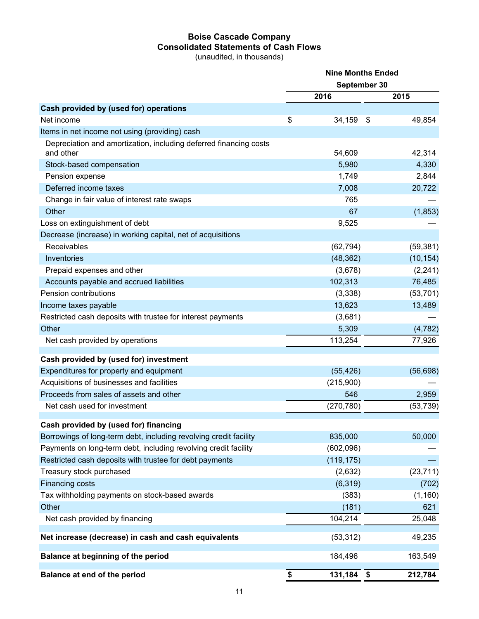## **Boise Cascade Company Consolidated Statements of Cash Flows**

(unaudited, in thousands)

|                                                                                | <b>Nine Months Ended</b> |              |    |           |  |
|--------------------------------------------------------------------------------|--------------------------|--------------|----|-----------|--|
|                                                                                |                          | September 30 |    |           |  |
|                                                                                |                          | 2016         |    | 2015      |  |
| Cash provided by (used for) operations                                         |                          |              |    |           |  |
| Net income                                                                     | \$                       | 34,159       | \$ | 49,854    |  |
| Items in net income not using (providing) cash                                 |                          |              |    |           |  |
| Depreciation and amortization, including deferred financing costs<br>and other |                          | 54,609       |    | 42,314    |  |
| Stock-based compensation                                                       |                          | 5,980        |    | 4,330     |  |
| Pension expense                                                                |                          | 1,749        |    | 2,844     |  |
| Deferred income taxes                                                          |                          | 7,008        |    | 20,722    |  |
| Change in fair value of interest rate swaps                                    |                          | 765          |    |           |  |
| Other                                                                          |                          | 67           |    | (1, 853)  |  |
| Loss on extinguishment of debt                                                 |                          | 9,525        |    |           |  |
| Decrease (increase) in working capital, net of acquisitions                    |                          |              |    |           |  |
| Receivables                                                                    |                          | (62, 794)    |    | (59, 381) |  |
| Inventories                                                                    |                          | (48, 362)    |    | (10, 154) |  |
| Prepaid expenses and other                                                     |                          | (3,678)      |    | (2, 241)  |  |
| Accounts payable and accrued liabilities                                       |                          | 102,313      |    | 76,485    |  |
| Pension contributions                                                          |                          | (3,338)      |    | (53, 701) |  |
| Income taxes payable                                                           |                          | 13,623       |    | 13,489    |  |
| Restricted cash deposits with trustee for interest payments                    |                          | (3,681)      |    |           |  |
| Other                                                                          |                          | 5,309        |    | (4, 782)  |  |
| Net cash provided by operations                                                |                          | 113,254      |    | 77,926    |  |
| Cash provided by (used for) investment                                         |                          |              |    |           |  |
| Expenditures for property and equipment                                        |                          | (55, 426)    |    | (56, 698) |  |
| Acquisitions of businesses and facilities                                      |                          | (215,900)    |    |           |  |
| Proceeds from sales of assets and other                                        |                          | 546          |    | 2,959     |  |
| Net cash used for investment                                                   |                          | (270, 780)   |    | (53, 739) |  |
| Cash provided by (used for) financing                                          |                          |              |    |           |  |
| Borrowings of long-term debt, including revolving credit facility              |                          | 835,000      |    | 50,000    |  |
| Payments on long-term debt, including revolving credit facility                |                          | (602,096)    |    |           |  |
| Restricted cash deposits with trustee for debt payments                        |                          | (119, 175)   |    |           |  |
| Treasury stock purchased                                                       |                          | (2,632)      |    | (23, 711) |  |
| Financing costs                                                                |                          | (6, 319)     |    | (702)     |  |
| Tax withholding payments on stock-based awards                                 |                          | (383)        |    | (1, 160)  |  |
| Other                                                                          |                          | (181)        |    | 621       |  |
| Net cash provided by financing                                                 |                          | 104,214      |    | 25,048    |  |
| Net increase (decrease) in cash and cash equivalents                           |                          | (53, 312)    |    | 49,235    |  |
|                                                                                |                          |              |    |           |  |
| Balance at beginning of the period                                             |                          | 184,496      |    | 163,549   |  |
| Balance at end of the period                                                   | \$                       | 131,184      | \$ | 212,784   |  |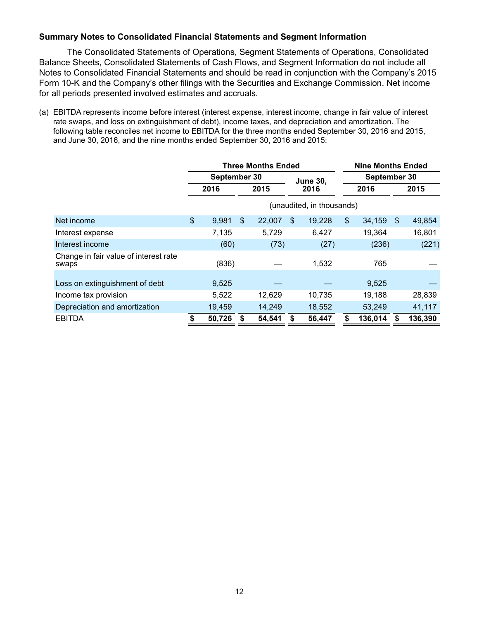### **Summary Notes to Consolidated Financial Statements and Segment Information**

The Consolidated Statements of Operations, Segment Statements of Operations, Consolidated Balance Sheets, Consolidated Statements of Cash Flows, and Segment Information do not include all Notes to Consolidated Financial Statements and should be read in conjunction with the Company's 2015 Form 10-K and the Company's other filings with the Securities and Exchange Commission. Net income for all periods presented involved estimates and accruals.

(a) EBITDA represents income before interest (interest expense, interest income, change in fair value of interest rate swaps, and loss on extinguishment of debt), income taxes, and depreciation and amortization. The following table reconciles net income to EBITDA for the three months ended September 30, 2016 and 2015, and June 30, 2016, and the nine months ended September 30, 2016 and 2015:

|                                                | <b>Three Months Ended</b> |                           |                |        |               |                 |      | <b>Nine Months Ended</b> |     |         |  |  |
|------------------------------------------------|---------------------------|---------------------------|----------------|--------|---------------|-----------------|------|--------------------------|-----|---------|--|--|
|                                                | September 30              |                           |                |        |               | <b>June 30,</b> |      | September 30             |     |         |  |  |
|                                                | 2016                      |                           | 2015           |        |               | 2016            | 2016 |                          |     | 2015    |  |  |
|                                                |                           | (unaudited, in thousands) |                |        |               |                 |      |                          |     |         |  |  |
| Net income                                     | $\frac{1}{2}$             | 9,981                     | $\mathfrak{F}$ | 22,007 | <sup>\$</sup> | 19,228          | \$   | 34,159                   | -\$ | 49,854  |  |  |
| Interest expense                               |                           | 7,135                     |                | 5,729  |               | 6,427           |      | 19,364                   |     | 16,801  |  |  |
| Interest income                                |                           | (60)                      |                | (73)   |               | (27)            |      | (236)                    |     | (221)   |  |  |
| Change in fair value of interest rate<br>swaps |                           | (836)                     |                |        |               | 1,532           |      | 765                      |     |         |  |  |
| Loss on extinguishment of debt                 |                           | 9,525                     |                |        |               |                 |      | 9,525                    |     |         |  |  |
| Income tax provision                           |                           | 5,522                     |                | 12,629 |               | 10,735          |      | 19,188                   |     | 28,839  |  |  |
| Depreciation and amortization                  |                           | 19,459                    |                | 14,249 |               | 18,552          |      | 53,249                   |     | 41,117  |  |  |
| <b>EBITDA</b>                                  |                           | 50,726                    |                | 54,541 | \$            | 56,447          |      | 136,014                  | S   | 136,390 |  |  |